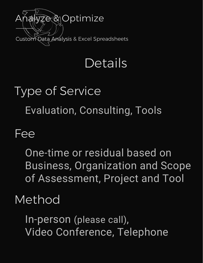

## Details

# Type of Service Evaluation, Consulting, Tools

#### Fee

One-time or residual based on Business, Organization and Scope of Assessment, Project and Tool

#### Method

In-person (please call), Video Conference, Telephone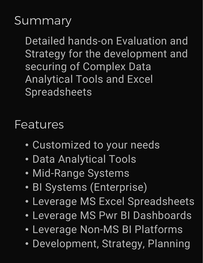#### **Summary**

Detailed hands-on Evaluation and Strategy for the development and securing of Complex Data Analytical Tools and Excel Spreadsheets

Features

- Customized to your needs
- Data Analytical Tools
- Mid-Range Systems
- BI Systems (Enterprise)
- Leverage MS Excel Spreadsheets
- Leverage MS Pwr BI Dashboards
- Leverage Non-MS BI Platforms
- Development, Strategy, Planning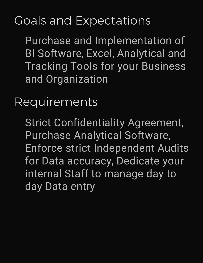### Goals and Expectations

Purchase and Implementation of BI Software, Excel, Analytical and Tracking Tools for your Business and Organization

Requirements

Strict Confidentiality Agreement, Purchase Analytical Software, Enforce strict Independent Audits for Data accuracy, Dedicate your internal Staff to manage day to day Data entry